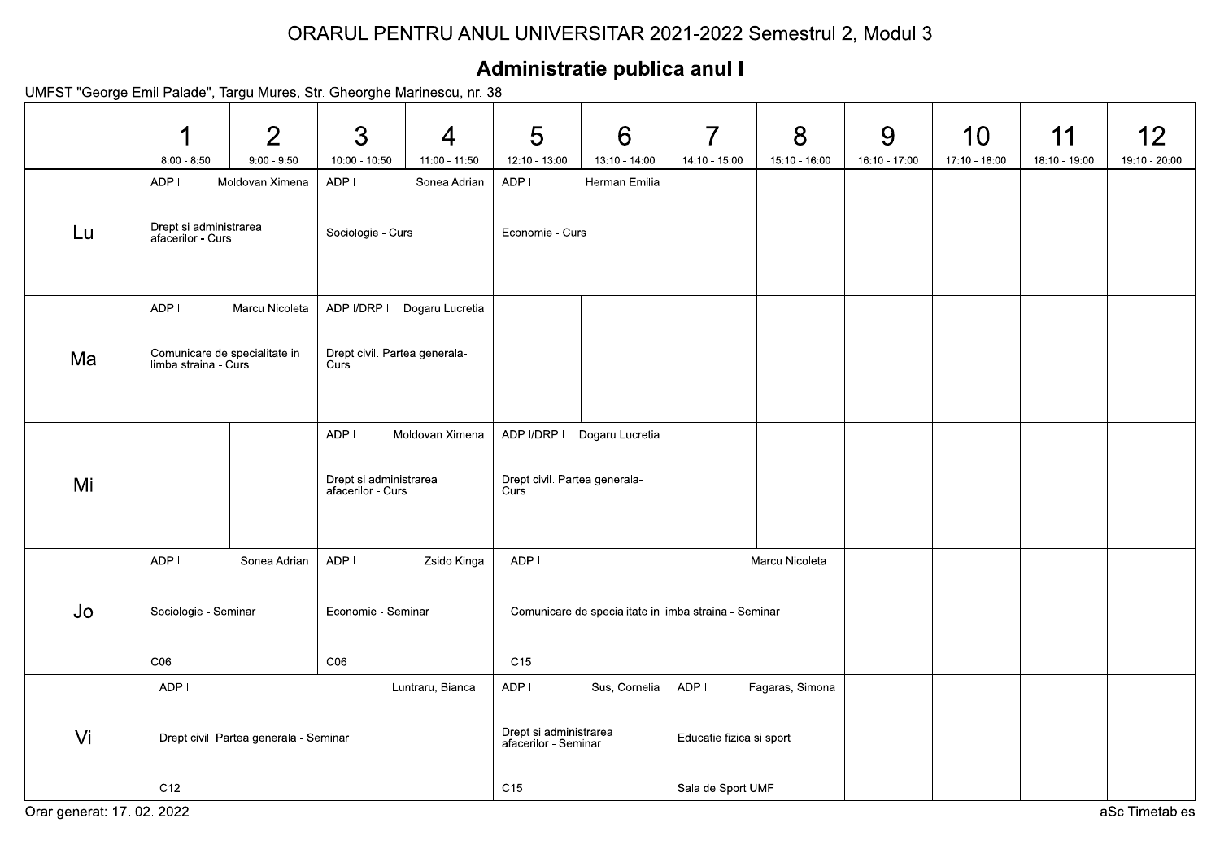|    |                                                                                                |                                        |                                                |                             |                                                       | Administratie publica anul I |                                 | ORARUL PENTRU ANUL UNIVERSITAR 2021-2022 Semestrul 2, Modul 3 |                    |                     |                     |                     |
|----|------------------------------------------------------------------------------------------------|----------------------------------------|------------------------------------------------|-----------------------------|-------------------------------------------------------|------------------------------|---------------------------------|---------------------------------------------------------------|--------------------|---------------------|---------------------|---------------------|
|    | UMFST "George Emil Palade", Targu Mures, Str. Gheorghe Marinescu, nr. 38                       |                                        |                                                |                             |                                                       |                              |                                 |                                                               |                    |                     |                     |                     |
|    | И<br>$8:00 - 8:50$                                                                             | $\overline{2}$<br>$9:00 - 9:50$        | $\mathfrak{S}$<br>10:00 - 10:50                | 4<br>11:00 - 11:50          | 5<br>12:10 - 13:00                                    | 6<br>13:10 - 14:00           | $\overline{7}$<br>14:10 - 15:00 | 8<br>15:10 - 16:00                                            | 9<br>16:10 - 17:00 | 10<br>17:10 - 18:00 | 11<br>18:10 - 19:00 | 12<br>19:10 - 20:00 |
|    | ADP I                                                                                          | Moldovan Ximena                        | ADP I                                          | Sonea Adrian                | ADP I                                                 | Herman Emilia                |                                 |                                                               |                    |                     |                     |                     |
| Lu | Drept si administrarea<br>afacerilor - Curs                                                    |                                        | Sociologie - Curs                              |                             | Economie - Curs                                       |                              |                                 |                                                               |                    |                     |                     |                     |
|    | ADP I                                                                                          | Marcu Nicoleta                         |                                                | ADP I/DRP I Dogaru Lucretia |                                                       |                              |                                 |                                                               |                    |                     |                     |                     |
| Ma | Drept civil. Partea generala-<br>Curs<br>Comunicare de specialitate in<br>limba straina - Curs |                                        |                                                |                             |                                                       |                              |                                 |                                                               |                    |                     |                     |                     |
|    |                                                                                                |                                        | ADP I                                          | Moldovan Ximena             |                                                       | ADP I/DRP   Dogaru Lucretia  |                                 |                                                               |                    |                     |                     |                     |
| Mi |                                                                                                |                                        | Drept si administrarea<br>afacerilor - Curs    |                             | Drept civil. Partea generala-<br>Curs                 |                              |                                 |                                                               |                    |                     |                     |                     |
|    | ADP I                                                                                          | Sonea Adrian                           | ADP I                                          | Zsido Kinga                 | ADP I                                                 |                              |                                 | Marcu Nicoleta                                                |                    |                     |                     |                     |
| Jo | Sociologie - Seminar<br>Economie - Seminar                                                     |                                        |                                                |                             | Comunicare de specialitate in limba straina - Seminar |                              |                                 |                                                               |                    |                     |                     |                     |
|    | CO6                                                                                            |                                        | CO6                                            |                             | C15                                                   |                              |                                 |                                                               |                    |                     |                     |                     |
|    | ADP I                                                                                          |                                        |                                                | Luntraru, Bianca            | ADP I                                                 | Sus, Cornelia                | ADP I                           | Fagaras, Simona                                               |                    |                     |                     |                     |
| Vi |                                                                                                | Drept civil. Partea generala - Seminar | Drept si administrarea<br>afacerilor - Seminar |                             |                                                       | Educatie fizica si sport     |                                 |                                                               |                    |                     |                     |                     |
|    | C12                                                                                            |                                        |                                                |                             |                                                       | C15                          |                                 | Sala de Sport UMF                                             |                    |                     |                     |                     |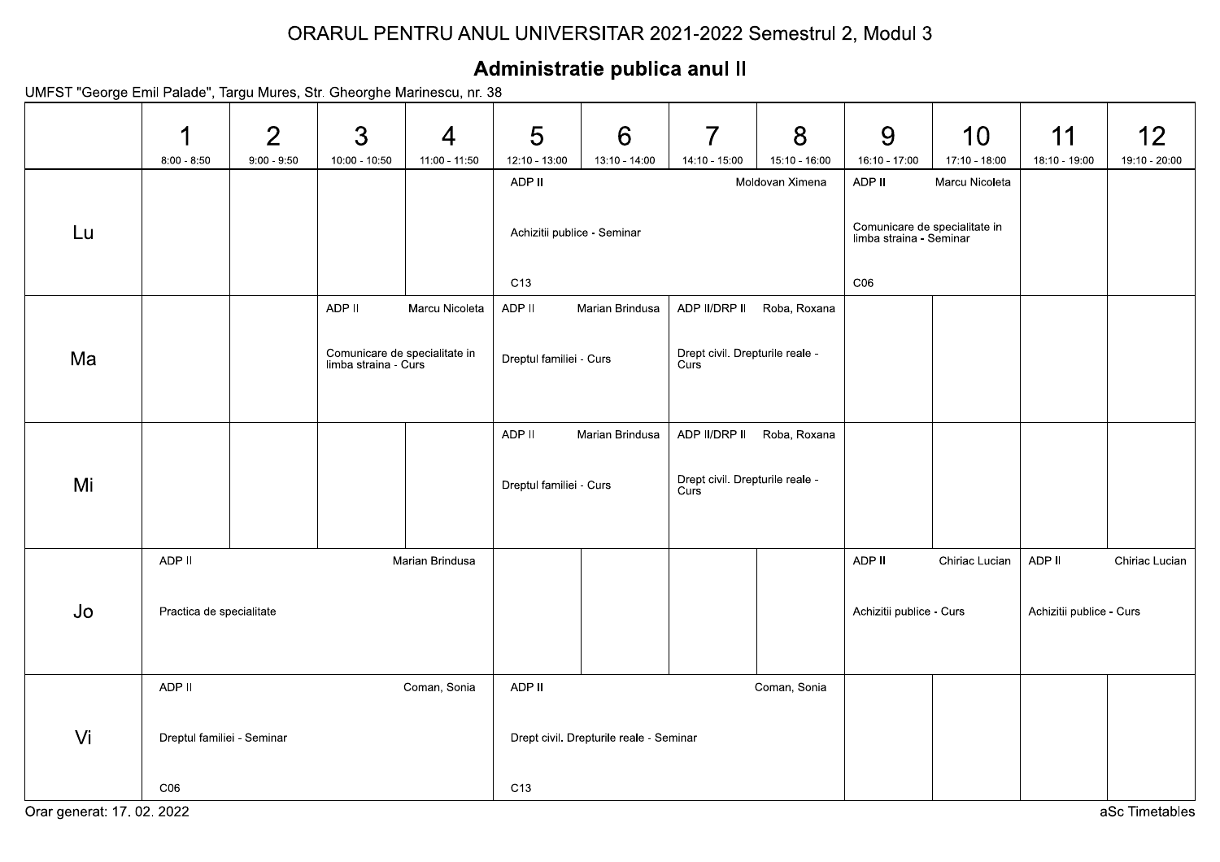## ORARUL PENTRU ANUL UNIVERSITAR 2021-2022 Semestrul 2, Modul 3

## Administratie publica anul II

UMFST "George Emil Palade", Targu Mures, Str. Gheorghe Marinescu, nr. 38

|    |                            | $\overline{2}$ | 3                                                     | $\overline{4}$  | 5                           | 6                                       | $\overline{7}$                          | 8             | 9                                                        | 10                              | 11                       | 12             |  |
|----|----------------------------|----------------|-------------------------------------------------------|-----------------|-----------------------------|-----------------------------------------|-----------------------------------------|---------------|----------------------------------------------------------|---------------------------------|--------------------------|----------------|--|
|    | $8:00 - 8:50$              | $9:00 - 9:50$  | $10.00 - 10:50$                                       | 11:00 - 11:50   | $12:10 - 13:00$             | 13:10 - 14:00                           | 14:10 - 15:00                           | 15:10 - 16:00 | 16:10 - 17:00<br>ADP II                                  | 17:10 - 18:00<br>Marcu Nicoleta | 18:10 - 19:00            | 19:10 - 20:00  |  |
|    |                            |                |                                                       |                 |                             | ADP II<br>Moldovan Ximena               |                                         |               |                                                          |                                 |                          |                |  |
| Lu |                            |                |                                                       |                 | Achizitii publice - Seminar |                                         |                                         |               | Comunicare de specialitate in<br>limba straina - Seminar |                                 |                          |                |  |
|    |                            |                |                                                       |                 | C13                         |                                         |                                         |               | C <sub>06</sub>                                          |                                 |                          |                |  |
|    |                            |                | ADP II                                                | Marcu Nicoleta  | ADP II                      | Marian Brindusa                         | ADP II/DRP II                           | Roba, Roxana  |                                                          |                                 |                          |                |  |
|    |                            |                |                                                       |                 |                             |                                         |                                         |               |                                                          |                                 |                          |                |  |
| Ma |                            |                | Comunicare de specialitate in<br>limba straina - Curs |                 | Dreptul familiei - Curs     |                                         | Drept civil. Drepturile reale -<br>Curs |               |                                                          |                                 |                          |                |  |
|    |                            |                |                                                       |                 |                             |                                         |                                         |               |                                                          |                                 |                          |                |  |
|    |                            |                |                                                       |                 |                             |                                         |                                         |               |                                                          |                                 |                          |                |  |
| Mi |                            |                |                                                       |                 | ADP II                      | Marian Brindusa                         | ADP II/DRP II                           | Roba, Roxana  |                                                          |                                 |                          |                |  |
|    |                            |                |                                                       |                 | Dreptul familiei - Curs     |                                         | Drept civil. Drepturile reale -<br>Curs |               |                                                          |                                 |                          |                |  |
|    |                            |                |                                                       |                 |                             |                                         |                                         |               |                                                          |                                 |                          |                |  |
|    | ADP II                     |                |                                                       | Marian Brindusa |                             |                                         |                                         |               | ADP II                                                   | Chiriac Lucian                  | ADP II                   | Chiriac Lucian |  |
| Jo |                            |                |                                                       |                 |                             |                                         |                                         |               |                                                          |                                 |                          |                |  |
|    | Practica de specialitate   |                |                                                       |                 |                             |                                         |                                         |               | Achizitii publice - Curs                                 |                                 | Achizitii publice - Curs |                |  |
|    |                            |                |                                                       |                 |                             |                                         |                                         |               |                                                          |                                 |                          |                |  |
|    |                            |                |                                                       |                 |                             |                                         |                                         |               |                                                          |                                 |                          |                |  |
|    | ADP II                     |                |                                                       | Coman, Sonia    | ADP II                      |                                         |                                         | Coman, Sonia  |                                                          |                                 |                          |                |  |
| Vi | Dreptul familiei - Seminar |                |                                                       |                 |                             | Drept civil. Drepturile reale - Seminar |                                         |               |                                                          |                                 |                          |                |  |
|    | CO6                        |                |                                                       |                 | C13                         |                                         |                                         |               |                                                          |                                 |                          |                |  |